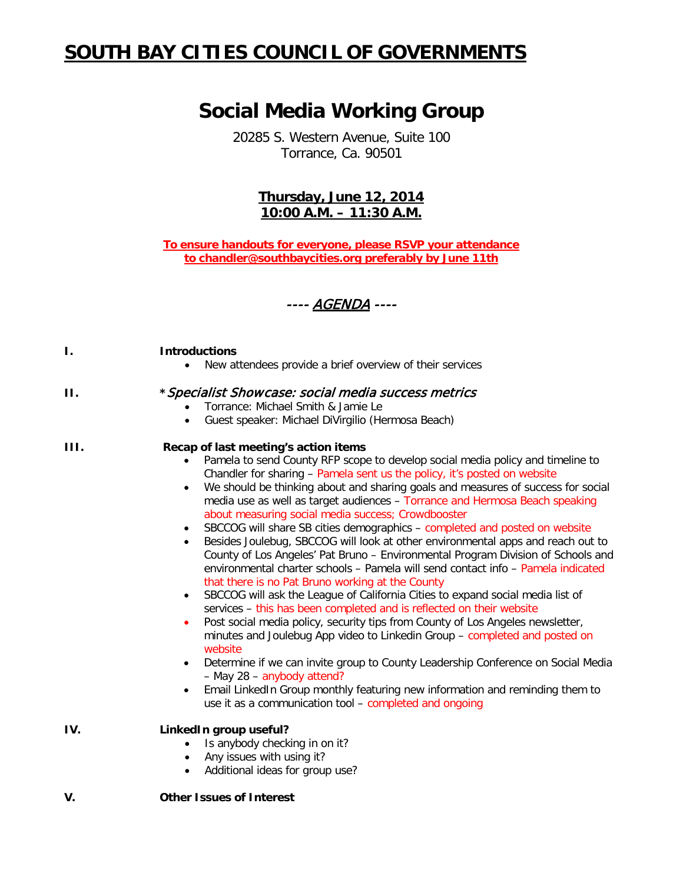# **SOUTH BAY CITIES COUNCIL OF GOVERNMENTS**

## **Social Media Working Group**

20285 S. Western Avenue, Suite 100 Torrance, Ca. 90501

## **Thursday, June 12, 2014 10:00 A.M. – 11:30 A.M.**

**To ensure handouts for everyone, please RSVP your attendance to [chandler@southbaycities.](mailto:chandler@southbaycities)org preferably by June 11th**



#### **I. Introductions**

• New attendees provide a brief overview of their services

## **II. \***Specialist Showcase: social media success metrics

- Torrance: Michael Smith & Jamie Le
- Guest speaker: Michael DiVirgilio (Hermosa Beach)

### **III. Recap of last meeting's action items**

- Pamela to send County RFP scope to develop social media policy and timeline to Chandler for sharing – Pamela sent us the policy, it's posted on website
- We should be thinking about and sharing goals and measures of success for social media use as well as target audiences – Torrance and Hermosa Beach speaking about measuring social media success; Crowdbooster
- SBCCOG will share SB cities demographics completed and posted on website
- Besides Joulebug, SBCCOG will look at other environmental apps and reach out to County of Los Angeles' Pat Bruno – Environmental Program Division of Schools and environmental charter schools – Pamela will send contact info – Pamela indicated that there is no Pat Bruno working at the County
- SBCCOG will ask the League of California Cities to expand social media list of services – this has been completed and is reflected on their website
- Post social media policy, security tips from County of Los Angeles newsletter, minutes and Joulebug App video to Linkedin Group – completed and posted on website
- Determine if we can invite group to County Leadership Conference on Social Media – May 28 – anybody attend?
- Email LinkedIn Group monthly featuring new information and reminding them to use it as a communication tool – completed and ongoing

### **IV. LinkedIn group useful?**

- Is anybody checking in on it?
- Any issues with using it?
- Additional ideas for group use?

## **V. Other Issues of Interest**